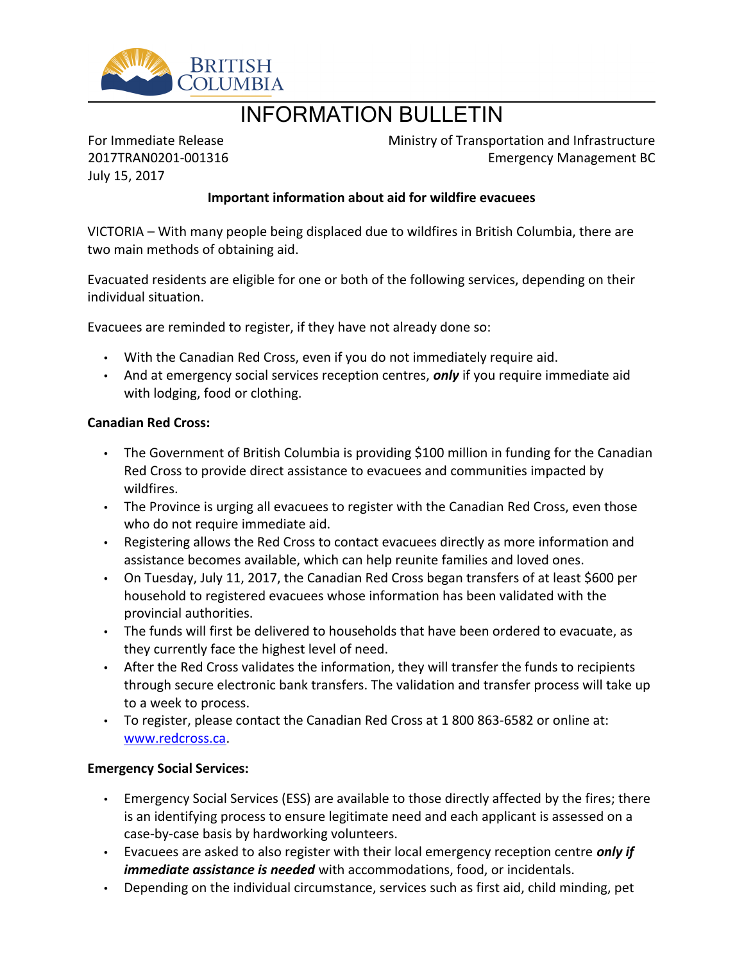

# INFORMATION BULLETIN

For Immediate Release 2017TRAN0201-001316 July 15, 2017

Ministry of Transportation and Infrastructure Emergency Management BC

## **Important information about aid for wildfire evacuees**

VICTORIA – With many people being displaced due to wildfires in British Columbia, there are two main methods of obtaining aid.

Evacuated residents are eligible for one or both of the following services, depending on their individual situation.

Evacuees are reminded to register, if they have not already done so:

- With the Canadian Red Cross, even if you do not immediately require aid.
- And at emergency social services reception centres, *only* if you require immediate aid with lodging, food or clothing.

#### **Canadian Red Cross:**

- The Government of British Columbia is providing \$100 million in funding for the Canadian Red Cross to provide direct assistance to evacuees and communities impacted by wildfires.
- The Province is urging all evacuees to register with the Canadian Red Cross, even those who do not require immediate aid.
- Registering allows the Red Cross to contact evacuees directly as more information and assistance becomes available, which can help reunite families and loved ones.
- On Tuesday, July 11, 2017, the Canadian Red Cross began transfers of at least \$600 per household to registered evacuees whose information has been validated with the provincial authorities.
- The funds will first be delivered to households that have been ordered to evacuate, as they currently face the highest level of need.
- After the Red Cross validates the information, they will transfer the funds to recipients through secure electronic bank transfers. The validation and transfer process will take up to a week to process.
- To register, please contact the Canadian Red Cross at 1 800 863-6582 or online at: [www.redcross.ca](http://www.redcross.ca/).

#### **Emergency Social Services:**

- Emergency Social Services (ESS) are available to those directly affected by the fires; there is an identifying process to ensure legitimate need and each applicant is assessed on a case-by-case basis by hardworking volunteers.
- Evacuees are asked to also register with their local emergency reception centre *only if immediate assistance is needed* with accommodations, food, or incidentals.
- Depending on the individual circumstance, services such as first aid, child minding, pet